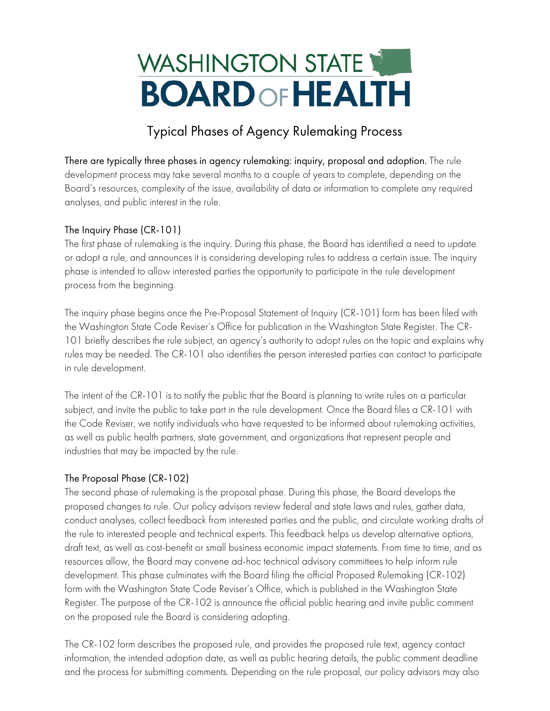# WASHINGTON STATE **BOARD OF HEALTH**

## Typical Phases of Agency Rulemaking Process

There are typically three phases in agency rulemaking: inquiry, proposal and adoption. The rule development process may take several months to a couple of years to complete, depending on the Board's resources, complexity of the issue, availability of data or information to complete any required analyses, and public interest in the rule.

### The Inquiry Phase (CR-101)

The first phase of rulemaking is the inquiry. During this phase, the Board has identified a need to update or adopt a rule, and announces it is considering developing rules to address a certain issue. The inquiry phase is intended to allow interested parties the opportunity to participate in the rule development process from the beginning.

The inquiry phase begins once the Pre-Proposal Statement of Inquiry (CR-101) form has been filed with the Washington State Code Reviser's Office for publication in the Washington State Register. The CR-101 briefly describes the rule subject, an agency's authority to adopt rules on the topic and explains why rules may be needed. The CR-101 also identifies the person interested parties can contact to participate in rule development.

The intent of the CR-101 is to notify the public that the Board is planning to write rules on a particular subject, and invite the public to take part in the rule development. Once the Board files a CR-101 with the Code Reviser, we notify individuals who have requested to be informed about rulemaking activities, as well as public health partners, state government, and organizations that represent people and industries that may be impacted by the rule.

### The Proposal Phase (CR-102)

The second phase of rulemaking is the proposal phase. During this phase, the Board develops the proposed changes to rule. Our policy advisors review federal and state laws and rules, gather data, conduct analyses, collect feedback from interested parties and the public, and circulate working drafts of the rule to interested people and technical experts. This feedback helps us develop alternative options, draft text, as well as cost-benefit or small business economic impact statements. From time to time, and as resources allow, the Board may convene ad-hoc technical advisory committees to help inform rule development. This phase culminates with the Board filing the official Proposed Rulemaking (CR-102) form with the Washington State Code Reviser's Office, which is published in the Washington State Register. The purpose of the CR-102 is announce the official public hearing and invite public comment on the proposed rule the Board is considering adopting.

The CR-102 form describes the proposed rule, and provides the proposed rule text, agency contact information, the intended adoption date, as well as public hearing details, the public comment deadline and the process for submitting comments. Depending on the rule proposal, our policy advisors may also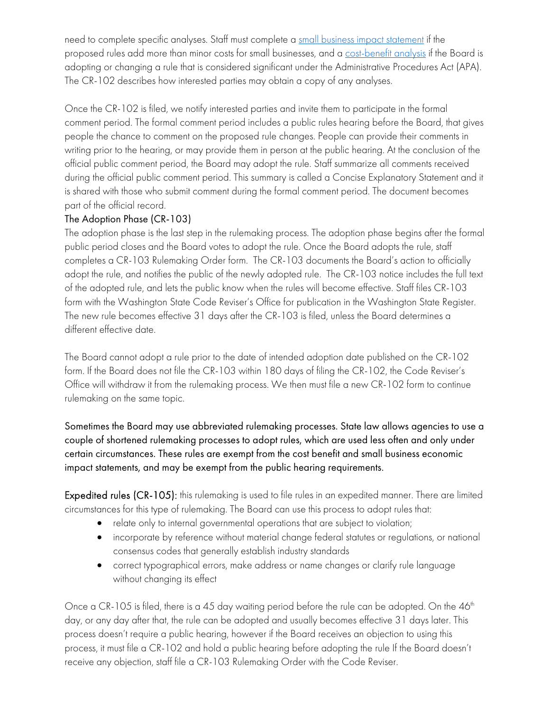need to complete specific analyses. Staff must complete a [small business impact statement](https://apps.leg.wa.gov/rcw/default.aspx?cite=19.85) if the proposed rules add more than minor costs for small businesses, and a [cost-benefit analysis](https://apps.leg.wa.gov/rcw/default.aspx?cite=34.05.328) if the Board is adopting or changing a rule that is considered significant under the Administrative Procedures Act (APA). The CR-102 describes how interested parties may obtain a copy of any analyses.

Once the CR-102 is filed, we notify interested parties and invite them to participate in the formal comment period. The formal comment period includes a public rules hearing before the Board, that gives people the chance to comment on the proposed rule changes. People can provide their comments in writing prior to the hearing, or may provide them in person at the public hearing. At the conclusion of the official public comment period, the Board may adopt the rule. Staff summarize all comments received during the official public comment period. This summary is called a Concise Explanatory Statement and it is shared with those who submit comment during the formal comment period. The document becomes part of the official record.

### The Adoption Phase (CR-103)

The adoption phase is the last step in the rulemaking process. The adoption phase begins after the formal public period closes and the Board votes to adopt the rule. Once the Board adopts the rule, staff completes a CR-103 Rulemaking Order form. The CR-103 documents the Board's action to officially adopt the rule, and notifies the public of the newly adopted rule. The CR-103 notice includes the full text of the adopted rule, and lets the public know when the rules will become effective. Staff files CR-103 form with the Washington State Code Reviser's Office for publication in the Washington State Register. The new rule becomes effective 31 days after the CR-103 is filed, unless the Board determines a different effective date.

The Board cannot adopt a rule prior to the date of intended adoption date published on the CR-102 form. If the Board does not file the CR-103 within 180 days of filing the CR-102, the Code Reviser's Office will withdraw it from the rulemaking process. We then must file a new CR-102 form to continue rulemaking on the same topic.

Sometimes the Board may use abbreviated rulemaking processes. State law allows agencies to use a couple of shortened rulemaking processes to adopt rules, which are used less often and only under certain circumstances. These rules are exempt from the cost benefit and small business economic impact statements, and may be exempt from the public hearing requirements.

Expedited rules (CR-105): this rulemaking is used to file rules in an expedited manner. There are limited circumstances for this type of rulemaking. The Board can use this process to adopt rules that:

- relate only to internal governmental operations that are subject to violation;
- incorporate by reference without material change federal statutes or regulations, or national consensus codes that generally establish industry standards
- correct typographical errors, make address or name changes or clarify rule language without changing its effect

Once a CR-105 is filed, there is a 45 day waiting period before the rule can be adopted. On the 46<sup>th</sup> day, or any day after that, the rule can be adopted and usually becomes effective 31 days later. This process doesn't require a public hearing, however if the Board receives an objection to using this process, it must file a CR-102 and hold a public hearing before adopting the rule If the Board doesn't receive any objection, staff file a CR-103 Rulemaking Order with the Code Reviser.